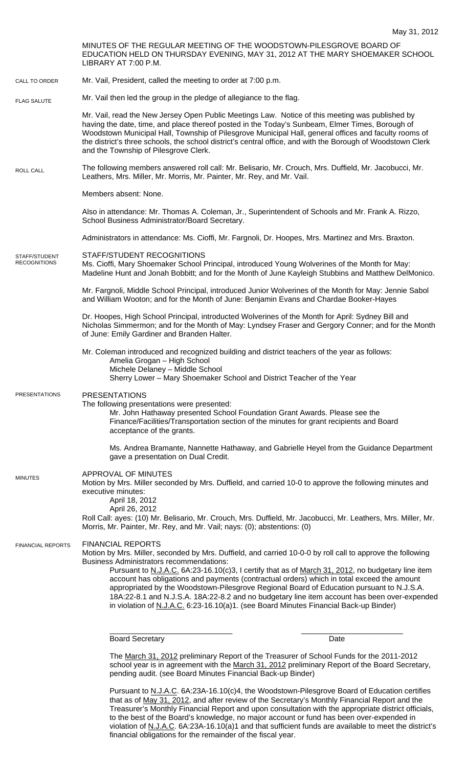MINUTES OF THE REGULAR MEETING OF THE WOODSTOWN-PILESGROVE BOARD OF EDUCATION HELD ON THURSDAY EVENING, MAY 31, 2012 AT THE MARY SHOEMAKER SCHOOL LIBRARY AT 7:00 P.M. Mr. Vail, President, called the meeting to order at 7:00 p.m. Mr. Vail then led the group in the pledge of allegiance to the flag. Mr. Vail, read the New Jersey Open Public Meetings Law. Notice of this meeting was published by having the date, time, and place thereof posted in the Today's Sunbeam, Elmer Times, Borough of Woodstown Municipal Hall, Township of Pilesgrove Municipal Hall, general offices and faculty rooms of the district's three schools, the school district's central office, and with the Borough of Woodstown Clerk and the Township of Pilesgrove Clerk. The following members answered roll call: Mr. Belisario, Mr. Crouch, Mrs. Duffield, Mr. Jacobucci, Mr. Leathers, Mrs. Miller, Mr. Morris, Mr. Painter, Mr. Rey, and Mr. Vail. Members absent: None. Also in attendance: Mr. Thomas A. Coleman, Jr., Superintendent of Schools and Mr. Frank A. Rizzo, School Business Administrator/Board Secretary. Administrators in attendance: Ms. Cioffi, Mr. Fargnoli, Dr. Hoopes, Mrs. Martinez and Mrs. Braxton. STAFF/STUDENT RECOGNITIONS Ms. Cioffi, Mary Shoemaker School Principal, introduced Young Wolverines of the Month for May: Madeline Hunt and Jonah Bobbitt; and for the Month of June Kayleigh Stubbins and Matthew DelMonico. Mr. Fargnoli, Middle School Principal, introduced Junior Wolverines of the Month for May: Jennie Sabol and William Wooton; and for the Month of June: Benjamin Evans and Chardae Booker-Hayes Dr. Hoopes, High School Principal, introducted Wolverines of the Month for April: Sydney Bill and Nicholas Simmermon; and for the Month of May: Lyndsey Fraser and Gergory Conner; and for the Month of June: Emily Gardiner and Branden Halter. Mr. Coleman introduced and recognized building and district teachers of the year as follows: Amelia Grogan – High School Michele Delaney – Middle School Sherry Lower – Mary Shoemaker School and District Teacher of the Year PRESENTATIONS The following presentations were presented: Mr. John Hathaway presented School Foundation Grant Awards. Please see the Finance/Facilities/Transportation section of the minutes for grant recipients and Board acceptance of the grants. Ms. Andrea Bramante, Nannette Hathaway, and Gabrielle Heyel from the Guidance Department gave a presentation on Dual Credit. APPROVAL OF MINUTES Motion by Mrs. Miller seconded by Mrs. Duffield, and carried 10-0 to approve the following minutes and executive minutes: April 18, 2012 April 26, 2012 Roll Call: ayes: (10) Mr. Belisario, Mr. Crouch, Mrs. Duffield, Mr. Jacobucci, Mr. Leathers, Mrs. Miller, Mr. Morris, Mr. Painter, Mr. Rey, and Mr. Vail; nays: (0); abstentions: (0) FINANCIAL REPORTS Motion by Mrs. Miller, seconded by Mrs. Duffield, and carried 10-0-0 by roll call to approve the following Business Administrators recommendations: Pursuant to N.J.A.C. 6A:23-16.10(c)3, I certify that as of March 31, 2012, no budgetary line item account has obligations and payments (contractual orders) which in total exceed the amount appropriated by the Woodstown-Pilesgrove Regional Board of Education pursuant to N.J.S.A. 18A:22-8.1 and N.J.S.A. 18A:22-8.2 and no budgetary line item account has been over-expended in violation of N.J.A.C. 6:23-16.10(a)1. (see Board Minutes Financial Back-up Binder) \_\_\_\_\_\_\_\_\_\_\_\_\_\_\_\_\_\_\_\_\_\_\_\_\_\_\_\_\_ \_\_\_\_\_\_\_\_\_\_\_\_\_\_\_\_\_\_\_\_\_\_\_\_ Board Secretary **Date** The March 31, 2012 preliminary Report of the Treasurer of School Funds for the 2011-2012 CALL TO ORDER ROLL CALL FLAG SALUTE MINUTES FINANCIAL REPORTS STAFF/STUDENT **RECOGNITIONS** PRESENTATIONS

school year is in agreement with the March 31, 2012 preliminary Report of the Board Secretary, pending audit. (see Board Minutes Financial Back-up Binder)

Pursuant to N.J.A.C. 6A:23A-16.10(c)4, the Woodstown-Pilesgrove Board of Education certifies that as of May 31, 2012, and after review of the Secretary's Monthly Financial Report and the Treasurer's Monthly Financial Report and upon consultation with the appropriate district officials, to the best of the Board's knowledge, no major account or fund has been over-expended in violation of N.J.A.C. 6A:23A-16.10(a)1 and that sufficient funds are available to meet the district's financial obligations for the remainder of the fiscal year.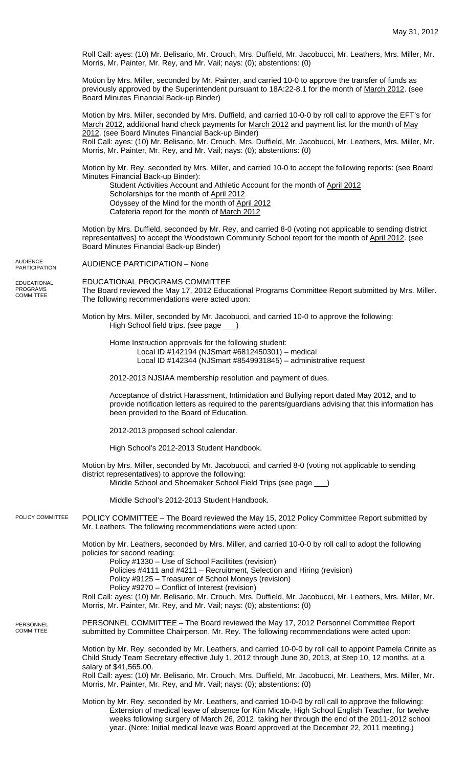Roll Call: ayes: (10) Mr. Belisario, Mr. Crouch, Mrs. Duffield, Mr. Jacobucci, Mr. Leathers, Mrs. Miller, Mr. Morris, Mr. Painter, Mr. Rey, and Mr. Vail; nays: (0); abstentions: (0)

Motion by Mrs. Miller, seconded by Mr. Painter, and carried 10-0 to approve the transfer of funds as previously approved by the Superintendent pursuant to 18A:22-8.1 for the month of March 2012. (see Board Minutes Financial Back-up Binder)

Motion by Mrs. Miller, seconded by Mrs. Duffield, and carried 10-0-0 by roll call to approve the EFT's for March 2012, additional hand check payments for March 2012 and payment list for the month of May 2012. (see Board Minutes Financial Back-up Binder)

Roll Call: ayes: (10) Mr. Belisario, Mr. Crouch, Mrs. Duffield, Mr. Jacobucci, Mr. Leathers, Mrs. Miller, Mr. Morris, Mr. Painter, Mr. Rey, and Mr. Vail; nays: (0); abstentions: (0)

Motion by Mr. Rey, seconded by Mrs. Miller, and carried 10-0 to accept the following reports: (see Board Minutes Financial Back-up Binder):

Student Activities Account and Athletic Account for the month of April 2012 Scholarships for the month of April 2012 Odyssey of the Mind for the month of April 2012 Cafeteria report for the month of March 2012

Motion by Mrs. Duffield, seconded by Mr. Rey, and carried 8-0 (voting not applicable to sending district representatives) to accept the Woodstown Community School report for the month of April 2012. (see Board Minutes Financial Back-up Binder)

AUDIENCE PARTICIPATION – None

EDUCATIONAL PROGRAMS COMMITTEE The Board reviewed the May 17, 2012 Educational Programs Committee Report submitted by Mrs. Miller. The following recommendations were acted upon:

Motion by Mrs. Miller, seconded by Mr. Jacobucci, and carried 10-0 to approve the following: High School field trips. (see page \_\_\_)

Home Instruction approvals for the following student:

Local ID #142194 (NJSmart #6812450301) – medical Local ID #142344 (NJSmart #8549931845) – administrative request

2012-2013 NJSIAA membership resolution and payment of dues.

Acceptance of district Harassment, Intimidation and Bullying report dated May 2012, and to provide notification letters as required to the parents/guardians advising that this information has been provided to the Board of Education.

2012-2013 proposed school calendar.

High School's 2012-2013 Student Handbook.

Motion by Mrs. Miller, seconded by Mr. Jacobucci, and carried 8-0 (voting not applicable to sending district representatives) to approve the following: Middle School and Shoemaker School Field Trips (see page \_\_\_)

Middle School's 2012-2013 Student Handbook.

POLICY COMMITTEE – The Board reviewed the May 15, 2012 Policy Committee Report submitted by Mr. Leathers. The following recommendations were acted upon: POLICY COMMITTEE

> Motion by Mr. Leathers, seconded by Mrs. Miller, and carried 10-0-0 by roll call to adopt the following policies for second reading:

Policy #1330 – Use of School Facilitites (revision)

Policies #4111 and #4211 – Recruitment, Selection and Hiring (revision)

Policy #9125 – Treasurer of School Moneys (revision)

Policy #9270 – Conflict of Interest (revision)

Roll Call: ayes: (10) Mr. Belisario, Mr. Crouch, Mrs. Duffield, Mr. Jacobucci, Mr. Leathers, Mrs. Miller, Mr. Morris, Mr. Painter, Mr. Rey, and Mr. Vail; nays: (0); abstentions: (0)

PERSONNEL COMMITTEE – The Board reviewed the May 17, 2012 Personnel Committee Report submitted by Committee Chairperson, Mr. Rey. The following recommendations were acted upon: PERSONNEL **COMMITTEE** 

> Motion by Mr. Rey, seconded by Mr. Leathers, and carried 10-0-0 by roll call to appoint Pamela Crinite as Child Study Team Secretary effective July 1, 2012 through June 30, 2013, at Step 10, 12 months, at a salary of \$41,565.00. Roll Call: ayes: (10) Mr. Belisario, Mr. Crouch, Mrs. Duffield, Mr. Jacobucci, Mr. Leathers, Mrs. Miller, Mr. Morris, Mr. Painter, Mr. Rey, and Mr. Vail; nays: (0); abstentions: (0)

Motion by Mr. Rey, seconded by Mr. Leathers, and carried 10-0-0 by roll call to approve the following: Extension of medical leave of absence for Kim Micale, High School English Teacher, for twelve weeks following surgery of March 26, 2012, taking her through the end of the 2011-2012 school year. (Note: Initial medical leave was Board approved at the December 22, 2011 meeting.)

AUDIENCE **PARTICIPATION** 

EDUCATIONAL PROGRAMS **COMMITTEE**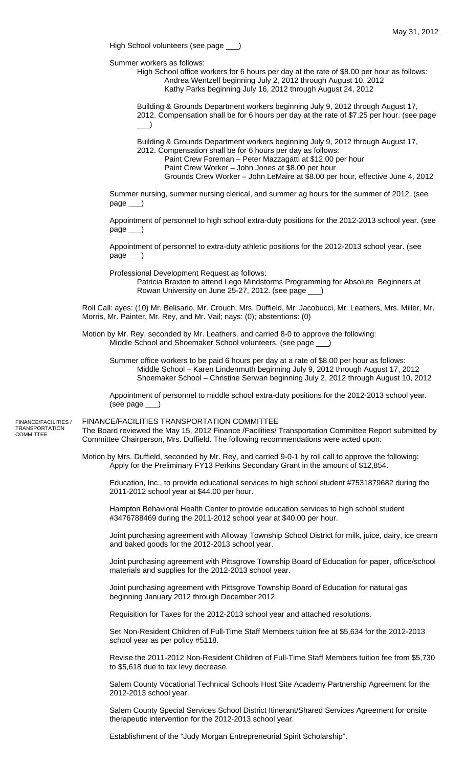High School volunteers (see page \_\_\_)

Summer workers as follows:

 High School office workers for 6 hours per day at the rate of \$8.00 per hour as follows: Andrea Wentzell beginning July 2, 2012 through August 10, 2012 Kathy Parks beginning July 16, 2012 through August 24, 2012

Building & Grounds Department workers beginning July 9, 2012 through August 17, 2012. Compensation shall be for 6 hours per day at the rate of \$7.25 per hour. (see page  $\Box$ )

Building & Grounds Department workers beginning July 9, 2012 through August 17,

- 2012. Compensation shall be for 6 hours per day as follows:
	- Paint Crew Foreman Peter Mazzagatti at \$12.00 per hour
	- Paint Crew Worker John Jones at \$8.00 per hour Grounds Crew Worker – John LeMaire at \$8.00 per hour, effective June 4, 2012

Summer nursing, summer nursing clerical, and summer ag hours for the summer of 2012. (see page

Appointment of personnel to high school extra-duty positions for the 2012-2013 school year. (see page \_\_\_)

Appointment of personnel to extra-duty athletic positions for the 2012-2013 school year. (see page

Professional Development Request as follows:

Patricia Braxton to attend Lego Mindstorms Programming for Absolute Beginners at Rowan University on June 25-27, 2012. (see page \_\_\_)

Roll Call: ayes: (10) Mr. Belisario, Mr. Crouch, Mrs. Duffield, Mr. Jacobucci, Mr. Leathers, Mrs. Miller, Mr. Morris, Mr. Painter, Mr. Rey, and Mr. Vail; nays: (0); abstentions: (0)

Motion by Mr. Rey, seconded by Mr. Leathers, and carried 8-0 to approve the following: Middle School and Shoemaker School volunteers. (see page \_\_\_)

 Summer office workers to be paid 6 hours per day at a rate of \$8.00 per hour as follows: Middle School – Karen Lindenmuth beginning July 9, 2012 through August 17, 2012 Shoemaker School – Christine Serwan beginning July 2, 2012 through August 10, 2012

Appointment of personnel to middle school extra-duty positions for the 2012-2013 school year. (see page \_\_\_)

FINANCE/FACILITIES TRANSPORTATION COMMITTEE The Board reviewed the May 15, 2012 Finance /Facilities/ Transportation Committee Report submitted by Committee Chairperson, Mrs. Duffield. The following recommendations were acted upon: FINANCE/FACILITIES / TRANSPORTATION COMMITTEE

> Motion by Mrs. Duffield, seconded by Mr. Rey, and carried 9-0-1 by roll call to approve the following: Apply for the Preliminary FY13 Perkins Secondary Grant in the amount of \$12,854.

Education, Inc., to provide educational services to high school student #7531879682 during the 2011-2012 school year at \$44.00 per hour.

Hampton Behavioral Health Center to provide education services to high school student #3476788469 during the 2011-2012 school year at \$40.00 per hour.

Joint purchasing agreement with Alloway Township School District for milk, juice, dairy, ice cream and baked goods for the 2012-2013 school year.

Joint purchasing agreement with Pittsgrove Township Board of Education for paper, office/school materials and supplies for the 2012-2013 school year.

Joint purchasing agreement with Pittsgrove Township Board of Education for natural gas beginning January 2012 through December 2012.

Requisition for Taxes for the 2012-2013 school year and attached resolutions.

Set Non-Resident Children of Full-Time Staff Members tuition fee at \$5,634 for the 2012-2013 school year as per policy #5118.

Revise the 2011-2012 Non-Resident Children of Full-Time Staff Members tuition fee from \$5,730 to \$5,618 due to tax levy decrease.

Salem County Vocational Technical Schools Host Site Academy Partnership Agreement for the 2012-2013 school year.

Salem County Special Services School District Itinerant/Shared Services Agreement for onsite therapeutic intervention for the 2012-2013 school year.

Establishment of the "Judy Morgan Entrepreneurial Spirit Scholarship".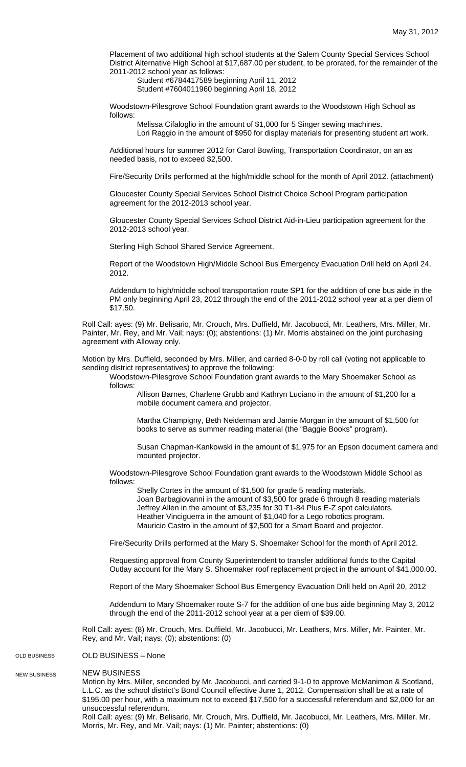Placement of two additional high school students at the Salem County Special Services School District Alternative High School at \$17,687.00 per student, to be prorated, for the remainder of the 2011-2012 school year as follows:

 Student #6784417589 beginning April 11, 2012 Student #7604011960 beginning April 18, 2012

Woodstown-Pilesgrove School Foundation grant awards to the Woodstown High School as follows:

Melissa Cifaloglio in the amount of \$1,000 for 5 Singer sewing machines. Lori Raggio in the amount of \$950 for display materials for presenting student art work.

Additional hours for summer 2012 for Carol Bowling, Transportation Coordinator, on an as needed basis, not to exceed \$2,500.

Fire/Security Drills performed at the high/middle school for the month of April 2012. (attachment)

Gloucester County Special Services School District Choice School Program participation agreement for the 2012-2013 school year.

Gloucester County Special Services School District Aid-in-Lieu participation agreement for the 2012-2013 school year.

Sterling High School Shared Service Agreement.

Report of the Woodstown High/Middle School Bus Emergency Evacuation Drill held on April 24, 2012.

Addendum to high/middle school transportation route SP1 for the addition of one bus aide in the PM only beginning April 23, 2012 through the end of the 2011-2012 school year at a per diem of \$17.50.

Roll Call: ayes: (9) Mr. Belisario, Mr. Crouch, Mrs. Duffield, Mr. Jacobucci, Mr. Leathers, Mrs. Miller, Mr. Painter, Mr. Rey, and Mr. Vail; nays: (0); abstentions: (1) Mr. Morris abstained on the joint purchasing agreement with Alloway only.

Motion by Mrs. Duffield, seconded by Mrs. Miller, and carried 8-0-0 by roll call (voting not applicable to sending district representatives) to approve the following:

Woodstown-Pilesgrove School Foundation grant awards to the Mary Shoemaker School as follows:

Allison Barnes, Charlene Grubb and Kathryn Luciano in the amount of \$1,200 for a mobile document camera and projector.

Martha Champigny, Beth Neiderman and Jamie Morgan in the amount of \$1,500 for books to serve as summer reading material (the "Baggie Books" program).

Susan Chapman-Kankowski in the amount of \$1,975 for an Epson document camera and mounted projector.

Woodstown-Pilesgrove School Foundation grant awards to the Woodstown Middle School as follows:

 Shelly Cortes in the amount of \$1,500 for grade 5 reading materials. Joan Barbagiovanni in the amount of \$3,500 for grade 6 through 8 reading materials Jeffrey Allen in the amount of \$3,235 for 30 T1-84 Plus E-Z spot calculators. Heather Vinciguerra in the amount of \$1,040 for a Lego robotics program. Mauricio Castro in the amount of \$2,500 for a Smart Board and projector.

Fire/Security Drills performed at the Mary S. Shoemaker School for the month of April 2012.

Requesting approval from County Superintendent to transfer additional funds to the Capital Outlay account for the Mary S. Shoemaker roof replacement project in the amount of \$41,000.00.

Report of the Mary Shoemaker School Bus Emergency Evacuation Drill held on April 20, 2012

Addendum to Mary Shoemaker route S-7 for the addition of one bus aide beginning May 3, 2012 through the end of the 2011-2012 school year at a per diem of \$39.00.

Roll Call: ayes: (8) Mr. Crouch, Mrs. Duffield, Mr. Jacobucci, Mr. Leathers, Mrs. Miller, Mr. Painter, Mr. Rey, and Mr. Vail; nays: (0); abstentions: (0)

## OLD BUSINESS – None OLD BUSINESS

NEW BUSINESS NEW BUSINESS

Motion by Mrs. Miller, seconded by Mr. Jacobucci, and carried 9-1-0 to approve McManimon & Scotland, L.L.C. as the school district's Bond Council effective June 1, 2012. Compensation shall be at a rate of \$195.00 per hour, with a maximum not to exceed \$17,500 for a successful referendum and \$2,000 for an unsuccessful referendum.

Roll Call: ayes: (9) Mr. Belisario, Mr. Crouch, Mrs. Duffield, Mr. Jacobucci, Mr. Leathers, Mrs. Miller, Mr. Morris, Mr. Rey, and Mr. Vail; nays: (1) Mr. Painter; abstentions: (0)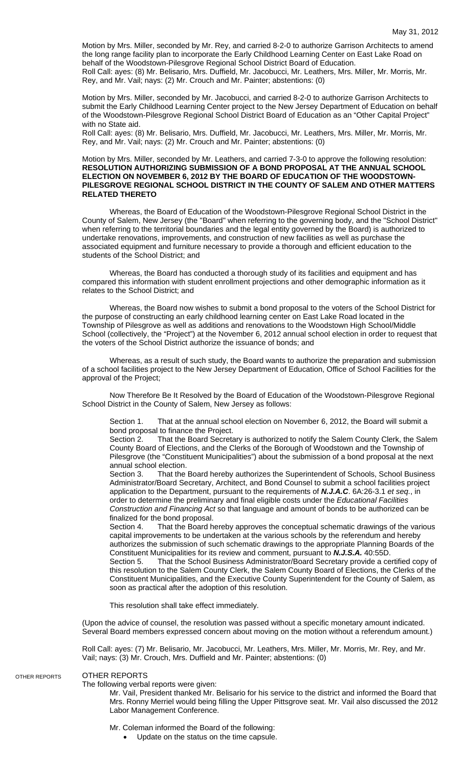Motion by Mrs. Miller, seconded by Mr. Rey, and carried 8-2-0 to authorize Garrison Architects to amend the long range facility plan to incorporate the Early Childhood Learning Center on East Lake Road on behalf of the Woodstown-Pilesgrove Regional School District Board of Education. Roll Call: ayes: (8) Mr. Belisario, Mrs. Duffield, Mr. Jacobucci, Mr. Leathers, Mrs. Miller, Mr. Morris, Mr. Rey, and Mr. Vail; nays: (2) Mr. Crouch and Mr. Painter; abstentions: (0)

Motion by Mrs. Miller, seconded by Mr. Jacobucci, and carried 8-2-0 to authorize Garrison Architects to submit the Early Childhood Learning Center project to the New Jersey Department of Education on behalf of the Woodstown-Pilesgrove Regional School District Board of Education as an "Other Capital Project" with no State aid.

Roll Call: ayes: (8) Mr. Belisario, Mrs. Duffield, Mr. Jacobucci, Mr. Leathers, Mrs. Miller, Mr. Morris, Mr. Rey, and Mr. Vail; nays: (2) Mr. Crouch and Mr. Painter; abstentions: (0)

## Motion by Mrs. Miller, seconded by Mr. Leathers, and carried 7-3-0 to approve the following resolution: **RESOLUTION AUTHORIZING SUBMISSION OF A BOND PROPOSAL AT THE ANNUAL SCHOOL ELECTION ON NOVEMBER 6, 2012 BY THE BOARD OF EDUCATION OF THE WOODSTOWN-PILESGROVE REGIONAL SCHOOL DISTRICT IN THE COUNTY OF SALEM AND OTHER MATTERS RELATED THERETO**

 Whereas, the Board of Education of the Woodstown-Pilesgrove Regional School District in the County of Salem, New Jersey (the "Board" when referring to the governing body, and the "School District" when referring to the territorial boundaries and the legal entity governed by the Board) is authorized to undertake renovations, improvements, and construction of new facilities as well as purchase the associated equipment and furniture necessary to provide a thorough and efficient education to the students of the School District; and

 Whereas, the Board has conducted a thorough study of its facilities and equipment and has compared this information with student enrollment projections and other demographic information as it relates to the School District; and

 Whereas, the Board now wishes to submit a bond proposal to the voters of the School District for the purpose of constructing an early childhood learning center on East Lake Road located in the Township of Pilesgrove as well as additions and renovations to the Woodstown High School/Middle School (collectively, the "Project") at the November 6, 2012 annual school election in order to request that the voters of the School District authorize the issuance of bonds; and

 Whereas, as a result of such study, the Board wants to authorize the preparation and submission of a school facilities project to the New Jersey Department of Education, Office of School Facilities for the approval of the Project;

 Now Therefore Be It Resolved by the Board of Education of the Woodstown-Pilesgrove Regional School District in the County of Salem, New Jersey as follows:

Section 1. That at the annual school election on November 6, 2012, the Board will submit a bond proposal to finance the Project.

Section 2. That the Board Secretary is authorized to notify the Salem County Clerk, the Salem County Board of Elections, and the Clerks of the Borough of Woodstown and the Township of Pilesgrove (the "Constituent Municipalities") about the submission of a bond proposal at the next annual school election.

Section 3. That the Board hereby authorizes the Superintendent of Schools, School Business Administrator/Board Secretary, Architect, and Bond Counsel to submit a school facilities project application to the Department, pursuant to the requirements of *N.J.A.C*. 6A:26-3.1 *et seq.*, in order to determine the preliminary and final eligible costs under the *Educational Facilities Construction and Financing Act* so that language and amount of bonds to be authorized can be finalized for the bond proposal.

Section 4. That the Board hereby approves the conceptual schematic drawings of the various capital improvements to be undertaken at the various schools by the referendum and hereby authorizes the submission of such schematic drawings to the appropriate Planning Boards of the Constituent Municipalities for its review and comment, pursuant to *N.J.S.A.* 40:55D.

Section 5. That the School Business Administrator/Board Secretary provide a certified copy of this resolution to the Salem County Clerk, the Salem County Board of Elections, the Clerks of the Constituent Municipalities, and the Executive County Superintendent for the County of Salem, as soon as practical after the adoption of this resolution.

This resolution shall take effect immediately.

(Upon the advice of counsel, the resolution was passed without a specific monetary amount indicated. Several Board members expressed concern about moving on the motion without a referendum amount.)

Roll Call: ayes: (7) Mr. Belisario, Mr. Jacobucci, Mr. Leathers, Mrs. Miller, Mr. Morris, Mr. Rey, and Mr. Vail; nays: (3) Mr. Crouch, Mrs. Duffield and Mr. Painter; abstentions: (0)

## OTHER REPORTS

OTHER REPORTS

The following verbal reports were given:

Mr. Vail, President thanked Mr. Belisario for his service to the district and informed the Board that Mrs. Ronny Merriel would being filling the Upper Pittsgrove seat. Mr. Vail also discussed the 2012 Labor Management Conference.

Mr. Coleman informed the Board of the following:

• Update on the status on the time capsule.